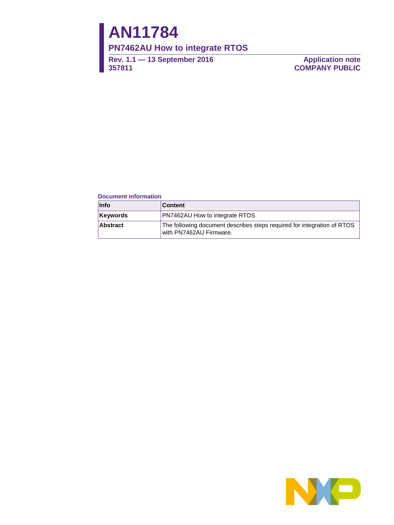# **AN11784**

### **PN7462AU How to integrate RTOS**

**Rev. 1.1 — 13 September 2016 357811**

**Application note COMPANY PUBLIC**

#### **Document information**

| <b>Info</b>     | <b>Content</b>                                                                                     |
|-----------------|----------------------------------------------------------------------------------------------------|
| <b>Keywords</b> | <b>PN7462AU How to integrate RTOS</b>                                                              |
| <b>Abstract</b> | The following document describes steps required for integration of RTOS<br>with PN7462AU Firmware. |

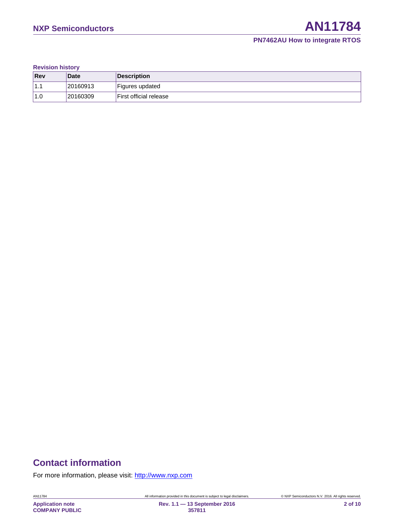**Revision history**

| <b>Rev</b>      | <b>Date</b> | Description            |
|-----------------|-------------|------------------------|
| $^{\prime}$ 1.1 | 20160913    | Figures updated        |
| 1.0             | 20160309    | First official release |

# **Contact information**

For more information, please visit: [http://www.nxp.com](http://www.nxp.com/) 

**357811**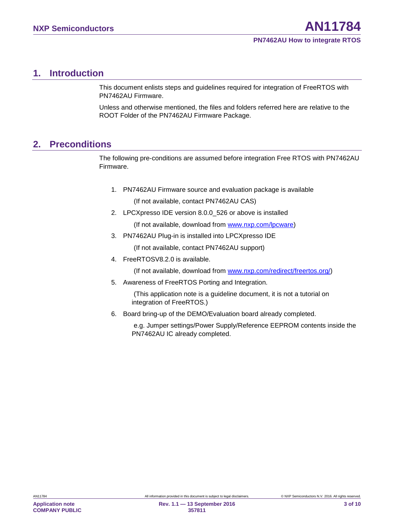### <span id="page-2-2"></span>**1. Introduction**

This document enlists steps and guidelines required for integration of FreeRTOS with PN7462AU Firmware.

Unless and otherwise mentioned, the files and folders referred here are relative to the ROOT Folder of the PN7462AU Firmware Package.

### <span id="page-2-1"></span>**2. Preconditions**

The following pre-conditions are assumed before integration Free RTOS with PN7462AU Firmware.

- 1. PN7462AU Firmware source and evaluation package is available (If not available, contact PN7462AU CAS)
- 2. LPCXpresso IDE version 8.0.0 526 or above is installed (If not available, download from [www.nxp.com/lpcware\)](http://www.nxp.com/lpcware)
- 3. PN7462AU Plug-in is installed into LPCXpresso IDE

(If not available, contact PN7462AU support)

4. FreeRTOSV8.2.0 is available.

(If not available, download from [www.nxp.com/redirect/freertos.org/\)](http://www.nxp.com/redirect/freertos.org/)

<span id="page-2-0"></span>5. Awareness of FreeRTOS Porting and Integration.

(This application note is a guideline document, it is not a tutorial on integration of FreeRTOS.)

6. Board bring-up of the DEMO/Evaluation board already completed.

e.g. Jumper settings/Power Supply/Reference EEPROM contents inside the PN7462AU IC already completed.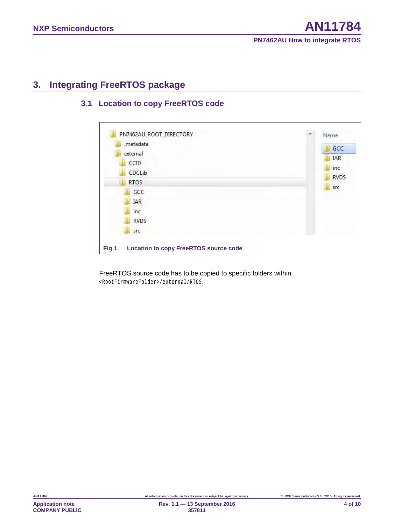### <span id="page-3-0"></span>**3. Integrating FreeRTOS package**

### <span id="page-3-1"></span>**3.1 Location to copy FreeRTOS code**

| <b>IAR</b><br>inc<br><b>RVDS</b><br>src | external<br>CCID<br>CDCLib<br><b>RTOS</b><br>GCC | <b>IAR</b><br>inc<br>src | GCC<br><b>RVDS</b> |
|-----------------------------------------|--------------------------------------------------|--------------------------|--------------------|
|-----------------------------------------|--------------------------------------------------|--------------------------|--------------------|

FreeRTOS source code has to be copied to specific folders within <RootFirmwareFolder>/external/RTOS.

**Application note COMPANY PUBLIC**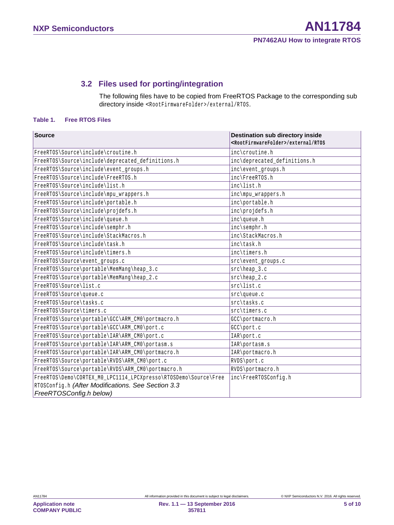### **3.2 Files used for porting/integration**

<span id="page-4-0"></span>The following files have to be copied from FreeRTOS Package to the corresponding sub directory inside <RootFirmwareFolder>/external/RTOS.

#### **Table 1. Free RTOS Files**

| <b>Source</b>                                                   | <b>Destination sub directory inside</b><br><rootfirmwarefolder>/external/RTOS</rootfirmwarefolder> |
|-----------------------------------------------------------------|----------------------------------------------------------------------------------------------------|
| FreeRTOS\Source\include\croutine.h                              | inc\croutine.h                                                                                     |
| FreeRTOS\Source\include\deprecated_definitions.h                | inc\deprecated_definitions.h                                                                       |
| FreeRTOS\Source\include\event_groups.h                          | inc\event_groups.h                                                                                 |
| FreeRTOS\Source\include\FreeRTOS.h                              | inc\FreeRTOS.h                                                                                     |
| FreeRTOS\Source\include\list.h                                  | inc\list.h                                                                                         |
| FreeRTOS\Source\include\mpu_wrappers.h                          | inc\mpu_wrappers.h                                                                                 |
| FreeRTOS\Source\include\portable.h                              | inc\portable.h                                                                                     |
| FreeRTOS\Source\include\projdefs.h                              | inc\projdefs.h                                                                                     |
| FreeRTOS\Source\include\queue.h                                 | inc\queue.h                                                                                        |
| FreeRTOS\Source\include\semphr.h                                | inc\semphr.h                                                                                       |
| FreeRTOS\Source\include\StackMacros.h                           | inc\StackMacros.h                                                                                  |
| FreeRTOS\Source\include\task.h                                  | inc\task.h                                                                                         |
| FreeRTOS\Source\include\timers.h                                | inc\timers.h                                                                                       |
| FreeRTOS\Source\event_groups.c                                  | $src\event_grows.c$                                                                                |
| FreeRTOS\Source\portable\MemMang\heap_3.c                       | $src\heap_3.c$                                                                                     |
| FreeRTOS\Source\portable\MemMang\heap_2.c                       | $src\heap_2.c$                                                                                     |
| FreeRTOS\Source\list.c                                          | src\list.c                                                                                         |
| FreeRTOS\Source\queue.c                                         | $src\q$ queue.c                                                                                    |
| FreeRTOS\Source\tasks.c                                         | src\tasks.c                                                                                        |
| FreeRTOS\Source\timers.c                                        | src\timers.c                                                                                       |
| FreeRTOS\Source\portable\GCC\ARM_CMO\portmacro.h                | GCC\portmacro.h                                                                                    |
| FreeRTOS\Source\portable\GCC\ARM_CM0\port.c                     | GCC\port.c                                                                                         |
| FreeRTOS\Source\portable\IAR\ARM_CMO\port.c                     | IAR\port.c                                                                                         |
| FreeRTOS\Source\portable\IAR\ARM_CMO\portasm.s                  | IAR\portasm.s                                                                                      |
| FreeRTOS\Source\portable\IAR\ARM_CM0\portmacro.h                | IAR\portmacro.h                                                                                    |
| FreeRTOS\Source\portable\RVDS\ARM_CM0\port.c                    | RVDS\port.c                                                                                        |
| FreeRTOS\Source\portable\RVDS\ARM_CMO\portmacro.h               | RVDS\portmacro.h                                                                                   |
| FreeRTOS\Demo\CORTEX_MO_LPC1114_LPCXpresso\RTOSDemo\Source\Free | inc\FreeRTOSConfig.h                                                                               |
| RTOSConfig.h (After Modifications. See Section 3.3              |                                                                                                    |
| FreeRTOSConfig.h below)                                         |                                                                                                    |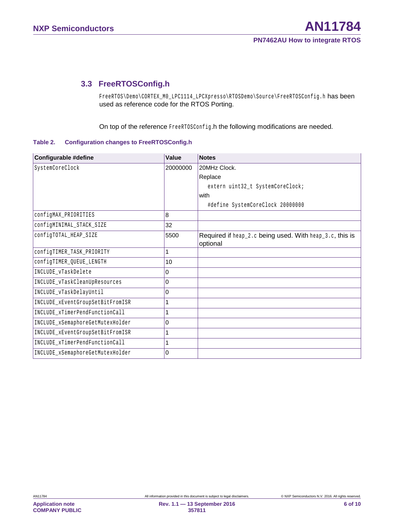### <span id="page-5-0"></span>**3.3 FreeRTOSConfig.h**

FreeRTOS\Demo\CORTEX\_M0\_LPC1114\_LPCXpresso\RTOSDemo\Source\FreeRTOSConfig.h has been used as reference code for the RTOS Porting.

On top of the reference FreeRTOSConfig.h the following modifications are needed.

**Table 2. Configuration changes to FreeRTOSConfig.h**

| Configurable #define             | Value    | <b>Notes</b>                                            |
|----------------------------------|----------|---------------------------------------------------------|
| SystemCoreClock                  | 20000000 | 20MHz Clock.                                            |
|                                  |          | Replace                                                 |
|                                  |          | extern uint32_t SystemCoreClock;                        |
|                                  |          | with                                                    |
|                                  |          | #define SystemCoreClock 20000000                        |
| configMAX_PRIORITIES             | 8        |                                                         |
| configMINIMAL_STACK_SIZE         | 32       |                                                         |
| configTOTAL_HEAP_SIZE            | 5500     | Required if heap_2.c being used. With heap_3.c, this is |
|                                  |          | optional                                                |
| configTIMER_TASK_PRIORITY        | 1        |                                                         |
| configTIMER_QUEUE_LENGTH         | 10       |                                                         |
| INCLUDE_vTaskDelete              | 0        |                                                         |
| INCLUDE_vTaskCleanUpResources    | 0        |                                                         |
| INCLUDE_vTaskDelayUntil          | 0        |                                                         |
| INCLUDE_xEventGroupSetBitFromISR | 1        |                                                         |
| INCLUDE_xTimerPendFunctionCall   | 1        |                                                         |
| INCLUDE_xSemaphoreGetMutexHolder | 0        |                                                         |
| INCLUDE_xEventGroupSetBitFromISR | 1        |                                                         |
| INCLUDE_xTimerPendFunctionCall   | 1        |                                                         |
| INCLUDE_xSemaphoreGetMutexHolder | 0        |                                                         |

**Application note COMPANY PUBLIC**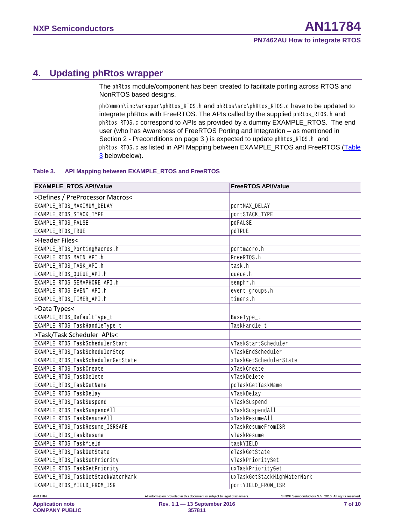# <span id="page-6-1"></span>**4. Updating phRtos wrapper**

The phRtos module/component has been created to facilitate porting across RTOS and NonRTOS based designs.

phCommon\inc\wrapper\phRtos\_RTOS.h and phRtos\src\phRtos\_RTOS.c have to be updated to integrate phRtos with FreeRTOS. The APIs called by the supplied phRtos\_RTOS.h and phRtos\_RTOS.c correspond to APIs as provided by a dummy EXAMPLE\_RTOS. The end user (who has [Awareness of FreeRTOS](#page-2-0) Porting and Integration – as mentioned in Section [2](#page-2-1) - [Preconditions](#page-2-1) [on page 3](#page-2-1) ) is expected to update phRtos\_RTOS.h and phRtos\_RTOS.c as listed in [API Mapping between EXAMPLE\\_RTOS and FreeRTOS \(Table](#page-6-0) 3 [belowb](#page-6-0)elow).

#### <span id="page-6-0"></span>**Table 3. API Mapping between EXAMPLE\_RTOS and FreeRTOS**

| <b>EXAMPLE_RTOS API/Value</b>      | <b>FreeRTOS API/Value</b>   |
|------------------------------------|-----------------------------|
| >Defines / PreProcessor Macros<    |                             |
| EXAMPLE_RTOS_MAXIMUM_DELAY         | portMAX_DELAY               |
| EXAMPLE_RTOS_STACK_TYPE            | portSTACK_TYPE              |
| EXAMPLE_RTOS_FALSE                 | pdFALSE                     |
| EXAMPLE_RTOS_TRUE                  | pdTRUE                      |
| >Header Files<                     |                             |
| EXAMPLE_RTOS_PortingMacros.h       | portmacro.h                 |
| EXAMPLE RTOS MAIN API.h            | FreeRTOS.h                  |
| EXAMPLE_RTOS_TASK_API.h            | task.h                      |
| EXAMPLE_RTOS_QUEUE_API.h           | queue.h                     |
| EXAMPLE_RTOS_SEMAPHORE_API.h       | semphr.h                    |
| EXAMPLE_RTOS_EVENT_API.h           | event_groups.h              |
| EXAMPLE_RTOS_TIMER_API.h           | timers.h                    |
| >Data Types<                       |                             |
| EXAMPLE_RTOS_DefaultType_t         | BaseType_t                  |
| EXAMPLE_RTOS_TaskHandleType_t      | TaskHandle t                |
| >Task/Task Scheduler APIs<         |                             |
| EXAMPLE RTOS TaskSchedulerStart    | vTaskStartScheduler         |
| EXAMPLE_RTOS_TaskSchedulerStop     | vTaskEndScheduler           |
| EXAMPLE_RTOS_TaskSchedulerGetState | xTaskGetSchedulerState      |
| EXAMPLE_RTOS_TaskCreate            | xTaskCreate                 |
| EXAMPLE RTOS TaskDelete            | vTaskDelete                 |
| EXAMPLE_RTOS_TaskGetName           | pcTaskGetTaskName           |
| EXAMPLE_RTOS_TaskDelay             | vTaskDelay                  |
| EXAMPLE_RTOS_TaskSuspend           | vTaskSuspend                |
| EXAMPLE RTOS TaskSuspendAll        | vTaskSuspendAll             |
| EXAMPLE_RTOS_TaskResumeAll         | xTaskResumeAll              |
| EXAMPLE_RTOS_TaskResume_ISRSAFE    | xTaskResumeFromISR          |
| EXAMPLE RTOS TaskResume            | vTaskResume                 |
| EXAMPLE_RTOS_TaskYield             | taskYIELD                   |
| EXAMPLE_RTOS_TaskGetState          | eTaskGetState               |
| EXAMPLE_RTOS_TaskSetPriority       | vTaskPrioritySet            |
| EXAMPLE_RTOS_TaskGetPriority       | uxTaskPriorityGet           |
| EXAMPLE_RTOS_TaskGetStackWaterMark | uxTaskGetStackHighWaterMark |
| EXAMPLE RTOS YIELD FROM ISR        | portYIELD FROM ISR          |

AN11784 All information provided in this document is subject to legal disclaimers. © NXP Semiconductors N.V. 2016. All rights reserved.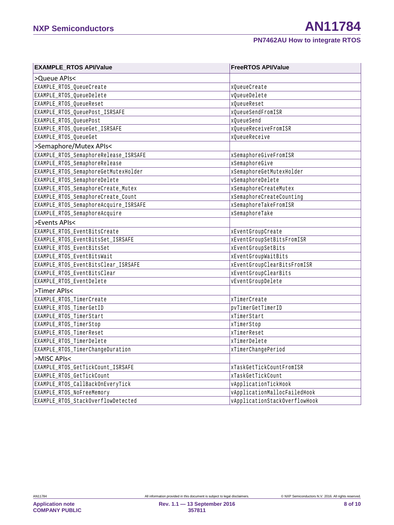>Queue APIs<

>Events APIs<

## **EXAMPLE\_RTOS API/Value FreeRTOS API/Value** EXAMPLE\_RTOS\_QueueCreate xqueueCreate xqueueCreate EXAMPLE\_RTOS\_QueueDelete van de volkstelete volkstelete volkstelete van de volkstelete EXAMPLE\_RTOS\_QueueReset xQueueReset xQueueReset EXAMPLE\_RTOS\_OueuePost\_ISRSAFE xqueueSendFromISR EXAMPLE\_RTOS\_OueuePost xQueueSend xQueueSend EXAMPLE\_RTOS\_QueueGet\_ISRSAFE xqueueReceiveFromISR EXAMPLE\_RTOS\_QueueGet xQueueReceive >Semaphore/Mutex APIs< EXAMPLE\_RTOS\_SemaphoreRelease\_ISRSAFE xSemaphoreGiveFromISR EXAMPLE\_RTOS\_SemaphoreRelease xSemaphoreGive EXAMPLE\_RTOS\_SemaphoreGetMutexHolder xSemaphoreGetMutexHolder EXAMPLE RTOS SemaphoreDelete vSemaphoreDelete vSemaphoreDelete vSemaphoreDelete EXAMPLE\_RTOS\_SemaphoreCreate\_Mutex  $x$ samphoreCreateMutex xsemaphoreCreateMutex EXAMPLE RTOS SemaphoreCreate Count the semaphoreCreateCounting xSemaphoreCreateCounting EXAMPLE\_RTOS\_SemaphoreAcquire\_ISRSAFE xSemaphoreTakeFromISR EXAMPLE RTOS SemaphoreAcquire xSemaphoreTake EXAMPLE\_RTOS\_EventBitsCreate xEventGroupCreate xEventGroupCreate EXAMPLE\_RTOS\_EventBitsSet\_ISRSAFE xeventGroupSetBitsFromISR EXAMPLE\_RTOS\_EventBitsSet xEventGroupSetBits EXAMPLE RTOS EventBitsWait xEventGroupWaitBits

| EXAMPLE_RTOS_EventBitsClear_ISRSAFE | xEventGroupClearBitsFromISR   |
|-------------------------------------|-------------------------------|
| EXAMPLE_RTOS_EventBitsClear         | xEventGroupClearBits          |
| EXAMPLE_RTOS_EventDelete            | vEventGroupDelete             |
| >Timer APIs<                        |                               |
| EXAMPLE_RTOS_TimerCreate            | xTimerCreate                  |
| EXAMPLE_RTOS_TimerGetID             | pvTimerGetTimerID             |
| EXAMPLE_RTOS_TimerStart             | xTimerStart                   |
| EXAMPLE_RTOS_TimerStop              | xTimerStop                    |
| EXAMPLE_RTOS_TimerReset             | xTimerReset                   |
| EXAMPLE_RTOS_TimerDelete            | xTimerDelete                  |
| EXAMPLE_RTOS_TimerChangeDuration    | xTimerChangePeriod            |
| >MISC APIs<                         |                               |
| EXAMPLE_RTOS_GetTickCount_ISRSAFE   | xTaskGetTickCountFromISR      |
| EXAMPLE_RTOS_GetTickCount           | xTaskGetTickCount             |
| EXAMPLE_RTOS_CallBackOnEveryTick    | vApplicationTickHook          |
| EXAMPLE_RTOS_NoFreeMemory           | vApplicationMallocFailedHook  |
| EXAMPLE_RTOS_StackOverflowDetected  | vApplicationStackOverflowHook |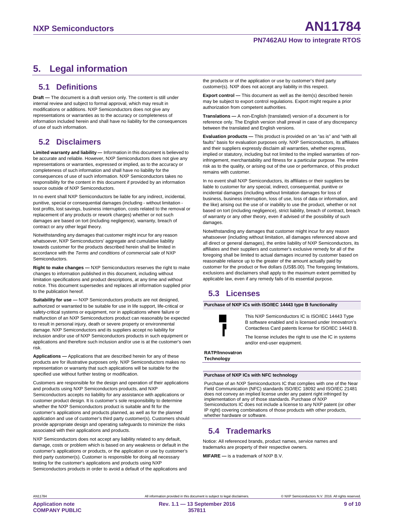#### **PN7462AU How to integrate RTOS**

# <span id="page-8-0"></span>**5. Legal information**

### <span id="page-8-1"></span>**5.1 Definitions**

**Draft —** The document is a draft version only. The content is still under internal review and subject to formal approval, which may result in modifications or additions. NXP Semiconductors does not give any representations or warranties as to the accuracy or completeness of information included herein and shall have no liability for the consequences of use of such information.

### <span id="page-8-2"></span>**5.2 Disclaimers**

**Limited warranty and liability —** Information in this document is believed to be accurate and reliable. However, NXP Semiconductors does not give any representations or warranties, expressed or implied, as to the accuracy or completeness of such information and shall have no liability for the consequences of use of such information. NXP Semiconductors takes no responsibility for the content in this document if provided by an information source outside of NXP Semiconductors.

In no event shall NXP Semiconductors be liable for any indirect, incidental, punitive, special or consequential damages (including - without limitation lost profits, lost savings, business interruption, costs related to the removal or replacement of any products or rework charges) whether or not such damages are based on tort (including negligence), warranty, breach of contract or any other legal theory.

Notwithstanding any damages that customer might incur for any reason whatsoever, NXP Semiconductors' aggregate and cumulative liability towards customer for the products described herein shall be limited in accordance with the *Terms and conditions of commercial sale* of NXP **Semiconductors** 

**Right to make changes —** NXP Semiconductors reserves the right to make changes to information published in this document, including without limitation specifications and product descriptions, at any time and without notice. This document supersedes and replaces all information supplied prior to the publication hereof.

**Suitability for use —** NXP Semiconductors products are not designed, authorized or warranted to be suitable for use in life support, life-critical or safety-critical systems or equipment, nor in applications where failure or malfunction of an NXP Semiconductors product can reasonably be expected to result in personal injury, death or severe property or environmental damage. NXP Semiconductors and its suppliers accept no liability for inclusion and/or use of NXP Semiconductors products in such equipment or applications and therefore such inclusion and/or use is at the customer's own risk.

**Applications —** Applications that are described herein for any of these products are for illustrative purposes only. NXP Semiconductors makes no representation or warranty that such applications will be suitable for the specified use without further testing or modification.

Customers are responsible for the design and operation of their applications and products using NXP Semiconductors products, and NXP Semiconductors accepts no liability for any assistance with applications or customer product design. It is customer's sole responsibility to determine whether the NXP Semiconductors product is suitable and fit for the customer's applications and products planned, as well as for the planned application and use of customer's third party customer(s). Customers should provide appropriate design and operating safeguards to minimize the risks associated with their applications and products.

NXP Semiconductors does not accept any liability related to any default, damage, costs or problem which is based on any weakness or default in the customer's applications or products, or the application or use by customer's third party customer(s). Customer is responsible for doing all necessary testing for the customer's applications and products using NXP Semiconductors products in order to avoid a default of the applications and

the products or of the application or use by customer's third party customer(s). NXP does not accept any liability in this respect.

**Export control —** This document as well as the item(s) described herein may be subject to export control regulations. Export might require a prior authorization from competent authorities.

**Translations —** A non-English (translated) version of a document is for reference only. The English version shall prevail in case of any discrepancy between the translated and English versions.

**Evaluation products —** This product is provided on an "as is" and "with all faults" basis for evaluation purposes only. NXP Semiconductors, its affiliates and their suppliers expressly disclaim all warranties, whether express, implied or statutory, including but not limited to the implied warranties of noninfringement, merchantability and fitness for a particular purpose. The entire risk as to the quality, or arising out of the use or performance, of this product remains with customer.

In no event shall NXP Semiconductors, its affiliates or their suppliers be liable to customer for any special, indirect, consequential, punitive or incidental damages (including without limitation damages for loss of business, business interruption, loss of use, loss of data or information, and the like) arising out the use of or inability to use the product, whether or not based on tort (including negligence), strict liability, breach of contract, breach of warranty or any other theory, even if advised of the possibility of such damages.

Notwithstanding any damages that customer might incur for any reason whatsoever (including without limitation, all damages referenced above and all direct or general damages), the entire liability of NXP Semiconductors, its affiliates and their suppliers and customer's exclusive remedy for all of the foregoing shall be limited to actual damages incurred by customer based on reasonable reliance up to the greater of the amount actually paid by customer for the product or five dollars (US\$5.00). The foregoing limitations, exclusions and disclaimers shall apply to the maximum extent permitted by applicable law, even if any remedy fails of its essential purpose.

### <span id="page-8-3"></span>**5.3 Licenses**

**Purchase of NXP ICs with ISO/IEC 14443 type B functionality**

This NXP Semiconductors IC is ISO/IEC 14443 Type B software enabled and is licensed under Innovatron's Contactless Card patents license for ISO/IEC 14443 B.

The license includes the right to use the IC in systems and/or end-user equipment.

**RATP/Innovatron Technology**

#### **Purchase of NXP ICs with NFC technology**

Purchase of an NXP Semiconductors IC that complies with one of the Near Field Communication (NFC) standards ISO/IEC 18092 and ISO/IEC 21481 does not convey an implied license under any patent right infringed by implementation of any of those standards. Purchase of NXP Semiconductors IC does not include a license to any NXP patent (or other IP right) covering combinations of those products with other products, whether hardware or software.

### <span id="page-8-4"></span>**5.4 Trademarks**

Notice: All referenced brands, product names, service names and trademarks are property of their respective owners.

**MIFARE —** is a trademark of NXP B.V.